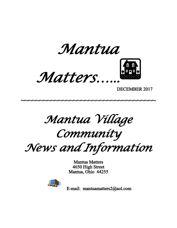





DECEMBER 2017

*Mantua Village* 

~~~~~~~~~~~~~~~~~~~~~~~~~~~~~~~~~~~~

*Community*

*News and Information*

Mantua Matters 4650 High Street Mantua, Ohio 44255



E-mail: mantuamatters2@aol.com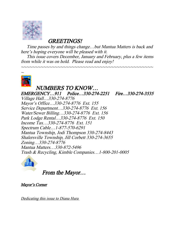

GREETINGS!

 Time passes by and things change…but Mantua Matters is back and here's hoping everyone will be pleased with it.

 This issue covers December, January and February, plus a few items from while it was on hold. Please read and enjoy!

~~~~~~~~~~~~~~~~~~~~~~~~~~~~~~~~~~~~~~~~~~~~~~~



 NUMBERS TO KNOW… EMERGENCY…911 Police…330-274-2251 Fire…330-274-3535 Village Hall…330-274-8776 Mayor's Office…330-274-8776 Ext. 155 Service Department…330-274-8776 Ext. 156 Water/Sewer Billing…330-274-8776 Ext. 156 Park Lodge Rental…330-274-8776 Ext. 150 Income Tax…330-274-8776 Ext. 151 Spectrum Cable…1-877-570-6291 Mantua Township, Jodi Thompson 330-274-8443 Shalersville Township, Jill Corbett 330-274-3655 Zoning…330-274-8776 Mantua Matters…330-872-5496 Trash & Recycling, Kimble Companies…1-800-201-0005



From the Mayor…

Mayor's Corner

Dedicating this issue to Diana Hura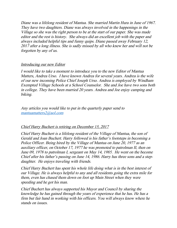Diane was a lifelong resident of Mantua. She married Martin Hura in June of 1967. They have two daughters. Diane was always involved in the happenings in the Village so she was the right person to be at the start of our paper. She was made editor and the rest is history. She always did an excellent job with the paper and always included helpful tips and funny quips. Diane passed away February 12, 2017 after a long illness. She is sadly missed by all who knew her and will not be forgotten by any of us.

#### Introducing our new Editor

I would like to take a moment to introduce you to the new Editor of Mantua Matters, Andrea Urso. I have known Andrea for several years. Andrea is the wife of our new incoming Police Chief Joseph Urso. Andrea is employed by Windham Exempted Village Schools at a School Counselor. She and Joe have two sons both in college. They have been married 20 years. Andrea and Joe enjoy camping and biking.

Any articles you would like to put in the quarterly paper send to [mantuamatters2@aol.com](mailto:mantuamatters2@aol.com)

#### Chief Harry Buchert is retiring on December 15, 2017

Chief Harry Buchert is a lifelong resident of the Village of Mantua, the son of Gerald and Joan Buchert. Harry followed is his father's footsteps in becoming a Police Officer. Being hired by the Village of Mantua on June 20, 1977 as an auxiliary officer, on October 17, 1977 he was promoted to patrolman II, then on June 09, 1978 to patrolman I, sergeant on May 14, 1985. He went on the become Chief after his father's passing on June 14, 1986. Harry has three sons and a stepdaughter. He enjoys traveling with friends.

Chief Harry Buchert has spent his whole life doing what is in the best interest of our Village. He is always helpful to any and all residents going the extra mile for them, even has chased them down on foot up Main Street when they were speeding and he got his man.

Chief Buchert has always supported his Mayor and Council by sharing the knowledge he has gained through the years of experience that he has. He has a firm but fair hand in working with his officers. You will always know where he stands on issues.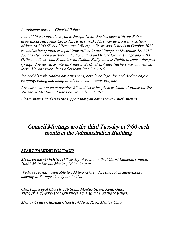#### Introducing our new Chief of Police

I would like to introduce you to Joseph Urso. Joe has been with our Police department since June 26, 2012. He has worked his way up from an auxiliary officer, to SRO (School Resource Officer) at Crestwood Schools in October 2012 as well as being hired as a part time officer to the Village on December 18, 2012. Joe has also been a partner in the K9 unit as an Officer for the Village and SRO Officer at Crestwood Schools with Diablo. Sadly we lost Diablo to cancer this past spring. Joe served as interim Chief in 2015 when Chief Buchert was on medical leave. He was sworn in as a Sergeant June 20, 2016.

Joe and his wife Andrea have two sons, both in college. Joe and Andrea enjoy camping, biking and being involved in community projects.

Joe was sworn in on November 21<sup>st</sup> and takes his place as Chief of Police for the Village of Mantua and starts on December 17, 2017.

Please show Chief Urso the support that you have shown Chief Buchert.

# Council Meetings are the third Tuesday at 7:00 each month at the Administration Building

# START TALKING PORTAGE!

Meets on the (4) FOURTH Tuesday of each month at Christ Lutheran Church, 10827 Main Street., Mantua, Ohio at 6 p.m.

We have recently been able to add two (2) new NA (narcotics anonymous) meeting in Portage County are held at:

Christ Episcopal Church, 118 South Mantua Street, Kent, Ohio, THIS IS A TUESDAY MEETING AT 7:30 P.M. EVERY WEEK

Mantua Center Christian Church , 4118 S. R. 82 Mantua Ohio,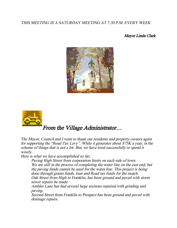#### THIS MEETING IS A SATURDAY MEETING AT 7:30 P.M. EVERY WEEK

#### Mayor Linda Clark





# From the Village Administrator…

The Mayor, Council and I want to thank our residents and property owners again for supporting the "Road Tax Levy". While it generates about \$75K a year, in the scheme of things that is not a lot. But, we have tried successfully to spend it wisely.

Here is what we have accomplished so far;

Paving High Street from corporation limits on each side of town We are still in the process of completing the water line on the east end, but the paving funds cannot be used for the water line. This project is being done through grants funds, loan and Road tax funds for the match. Oak Street from High to Franklin, has been ground and paved with storm sewer repairs be made.

Ambler Lane has had several large sections repaired with grinding and paving.

Second Street from Franklin to Prospect has been ground and paved with drainage repairs.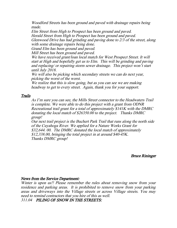Woodford Streets has been ground and paved with drainage repairs being made.

Elm Street from High to Prospect has been ground and paved. Herald Street from High to Prospect has been ground and paved. Glenwood Drive has had grinding and paving done to 2/3 of the street, along with some drainage repairs being done.

Grand Elm has been ground and paved.

Mill Street has been ground and paved.

We have received grant/loan local match for West Prospect Street. It will start at High and hopefully get us to Elm. This will be grinding and paving and replacing/ or repairing storm sewer drainage. This project won't start until July 2018.

We will also be picking which secondary streets we can do next year, picking the worst of the worst.

We realize that this is slow going, but as you can see we are making headway to get to every street. Again, thank you for your support.

#### **Trails**

As I'm sure you can see, the Mills Street connector to the Headwaters Trail is complete. We were able to do this project with a grant from ODNR Recreational trail grant for a total of approximately \$141K with the DMRC donating the local match of \$26350.00 to the project. Thanks DMRC group!

Our next trail project is the Buchert Park Trail that runs along the north side of the Cuyahoga River. We applied for a Nature Works Grant for \$32,644. 00. The DMRC donated the local match of approximately \$12,338.00, bringing the total project in at around \$40-45K. Thanks DMRC group!

Bruce Rininger

#### News from the Service Department:

Winter is upon us!! Please remember the rules about removing snow from your residence and parking areas. It is prohibited to remove snow from your parking areas and driveways into the Village streets or across Village streets. You may need to remind contractors that you hire of this as well. 311.04 PILING OF SNOW IN THE STREETS: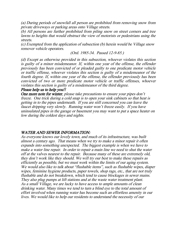(a) During periods of snowfall all person are prohibited from removing snow from private driveways or parking areas onto Village streets.

(b) All persons are further prohibited from piling snow on street corners and tree lawns to heights that would obstruct the view of motorists or pedestrians using the streets.

(c) Exempted from the application of subsection (b) herein would be Village snow remover vehicle operators.

(Ord. 1985-34. Passed 12-9-85.)

(d) Except as otherwise provided in this subsection, whoever violates this section is guilty of a minor misdemeanor. If, within one year of the offense, the offender previously has been convicted of or pleaded guilty to one predicate motor vehicle or traffic offense, whoever violates this section is guilty of a misdemeanor of the fourth degree. If, within one year of the offense, the offender previously has been convicted of two or more predicate motor vehicle or traffic offenses, whoever violates this section is guilty of a misdemeanor of the third degree.

#### Please help us to help you!!

One more note for winter, please take precautions to ensure your pipes don't freeze. One trick during a cold snap is to open your sink cabinets so that heat is getting in to the pipes underneath. If you are still concerned you can leave the faucet dripping very slowly. Running water won't freeze easily. If you have uninsulated pipes in the garage or basement you may want to put a space heater on low during the coldest days and nights.

#### WATER AND SEWER INFORMATION:

As everyone knows our lovely town, and much of its infrastructure, was built almost a century ago. That means when we try to make a minor repair it often expands into something unexpected. The biggest example is when we have to make a water line repair. In order to repair a main line we need to shut the water off at the valves nearest to the repair. Because many of these are extremely old, they don't work like they should. We will try our best to make these repairs as efficiently as possible, but we must work within the limits of our aging system. We would also like to talk about "flushable items", such as flushable wipes, diaper wipes, feminine hygiene products, paper towels, shop rags, etc., that are not truly flushable and do not breakdown, which tend to cause blockages in sewer mains. They also plug pumps at lift stations and at the waste water treatment plant. As a small Village, we are lucky to have access to ample amounts of clean drinking water. Many times we tend to turn a blind eye to the total amount of effort involved when running water has become such an effortless amenity in our lives. We would like to help our residents to understand the necessity of our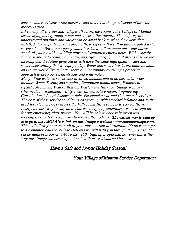current water and sewer rate increase, and to look at the grand scope of how the money is used.

Like many other cities and villages all across the country, the Village of Mantua has an aging underground, water and sewer infrastructure. The majority of our underground pipelines and valves can be dated back to when they were first installed. The importance of replacing these pipes will result in uninterrupted water service due to fewer emergency water breaks, it will maintain our water purity standards, along with, avoiding unwanted sanitation emergencies. With a steady financial ability to replace our aging underground equipment, it means that we are insuring that the future generations will have the same high quality water and sewer accessibility that we enjoy today. Water and sewer breaks are unpredictable, and so we would like to better serve our community by taking a proactive approach to keep our residents safe and with water.

Many of the water  $\&$  sewer cost involved include, and in no particular order include: Water Testing and supplies, Equipment maintenance, Equipment repair/replacement, Water filtration, Wastewater filtration, Sludge Removal, Chemicals for treatment, Utility costs, Infrastructure repair, Engineering Consultation, Water/Wastewater debt, Personnel costs, and Contractual services. The cost of these services and items has gone up with standard inflation and so the need for rate increases ensures the Village has the resources to pay for them. Lastly, the best way to stay up to date as emergency situations arise is to sign up for our emergency alert system. You will be able to choose between text messages, e-mails or voice calls to receive the updates. The easiest way to sign up is to go to the AMG Alerts link on the Village's website www.mantuavillage.com. This will allow you to enter all of your most current information. If you cannot get to a computer, call the Village Hall and we will help you through the process. Our phone number is 330-274-8776 Ext. 150. Sign up is optional, however this is the way the Village can best stay in touch with its residents and businesses.

# Have a Safe and Joyous Holiday Season!

Your Village of Mantua Service Department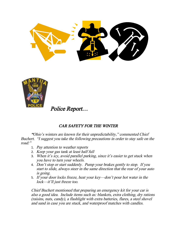

Police Report…

# CAR SAFETY FOR THE WINTER

"Ohio's winters are known for their unpredictability," commented Chief Buchert. "I suggest you take the following precautions in order to stay safe on the road:"

- 1. Pay attention to weather reports
- 2. Keep your gas tank at least half full
- 3. When it's icy, avoid parallel parking, since it's easier to get stuck when you have to turn your wheels.
- 4. Don't stop or start suddenly. Pump your brakes gently to stop. If you start to slide, always steer in the same direction that the rear of your auto is going.
- 5. If your door locks freeze, heat your key—don't pour hot water in the lock—it'll just freeze too.

Chief Buchert mentioned that preparing an emergency kit for your car is also a good idea. Include items such as: blankets, extra clothing, dry rations (raisins, nuts, candy), a flashlight with extra batteries, flares, a steel shovel and sand in case you are stuck, and waterproof matches with candles.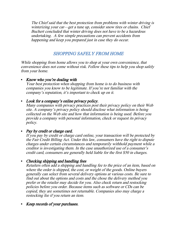The Chief said that the best protection from problems with winter driving is winterizing your car—get a tune up, consider snow tires or chains. Chief Buchert concluded that winter driving does not have to be a hazardous undertaking. A few simple precautions can prevent accidents from happening and keep you prepared just in case they do occur.

# SHOPPING SAFELY FROM HOME

While shopping from home allows you to shop at your own convenience, that convenience does not come without risk. Follow these tips to help you shop safely from your home.

#### Know who you're dealing with

Your best protection when shopping from home is to do business with companies you know to be legitimate. If you're not familiar with the company's reputation, it's important to check up on it.

# • Look for a company's online privacy policy.

Many companies with privacy practices post their privacy policy on their Web site. A company's privacy policy should disclose what information is being collected on the Web site and how that information is being used. Before you provide a company with personal information, check or request its privacy policy.

# • Pay by credit or charge card.

If you pay by credit or charge card online, your transaction will be protected by the Fair Credit Billing Act. Under this law, consumers have the right to dispute charges under certain circumstances and temporarily withhold payment while a creditor is investigating them. In the case unauthorized use of a consumer's credit card, consumers are generally held liable for the first \$50 in charges.

# • Checking shipping and handling fees

Retailers often add a shipping and handling fee to the price of an item, based on where the order is shipped, the cost, or weight of the goods. Online buyers generally can select from several delivery options at various costs. Be sure to find out about the options and costs and the chose the delivery method you prefer or the retailer may decide for you. Also check return and restocking policies before you order. Because items such as software or CDs can be copied, they are sometimes not returnable. Companies also may charge a restocking fee if you return an item.

# Keep records of your purchases.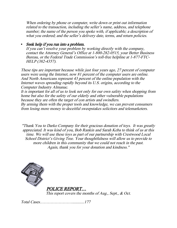When ordering by phone or computer, write down or print out information related to the transaction, including the seller's name, address, and telephone number; the name of the person you spoke with, if applicable; a description of what you ordered; and the seller's delivery date, terms, and return policies.

# Seek help if you run into a problem.

If you can't resolve your problem by working directly with the company, contact the Attorney General's Office at 1-800-282-0515, your Better Business Bureau, or the Federal Trade Commission's toll-free helpline at 1-877-FTC-HELP (382-4357).

These tips are important because while just four years ago, 27 percent of computer users were using the Internet, now 81 percent of the computer users are online. And North Americans represent 43 percent of the online population with the Internet waves spreading rapidly beyond its U.S. origins, according to the Computer Industry Almanac.

It is important for all of us to look not only for our own safety when shopping from home but also for the safety of our elderly and other vulnerable populations because they are often the target of con artists and swindlers.

By arming them with the proper tools and knowledge, we can prevent consumers from losing more money to deceitful sweepstakes solicitors and telemarketers.

"Thank You to Darko Company for their gracious donation of toys. It was greatly appreciated. It was kind of you, Bob Rankin and Sarah Keba to think of us at this time. We will use these toys as part of our partnership with Crestwood Local School District's Giving Tree. Your thoughtfulness will allow us to provide to more children in this community that we could not reach in the past. Again, thank you for your donation and kindness."



 POLICE REPORT… This report covers the months of Aug., Sept., & Oct.

Total Cases……………………............177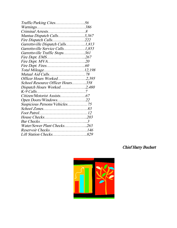| Mantua Dispatch Calls3,367        |  |
|-----------------------------------|--|
| Fire Dispatch Calls222            |  |
| Garrettsville Dispatch Calls1,813 |  |
| Garrettsville Service Calls1,853  |  |
| Garrettsville Traffic Stops361    |  |
| Fire Dept. EMS267                 |  |
| Fire Dept. MVA20                  |  |
|                                   |  |
|                                   |  |
|                                   |  |
| Officer Hours Worked2,395         |  |
| School Resource Officer Hours358  |  |
| Dispatch Hours Worked2,480        |  |
|                                   |  |
|                                   |  |
| Open Doors/Windows22              |  |
| Suspicious Persons/Vehicles75     |  |
|                                   |  |
|                                   |  |
|                                   |  |
|                                   |  |
| Water/Sewer Plant Checks263       |  |
| Reservoir Checks146               |  |
| Lift Station Checks829            |  |

# Chief Harry Buchert

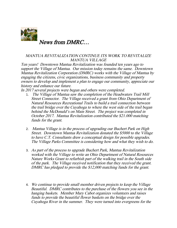

News from DMRC…

#### MANTUA REVITALIZATION CONTINUE ITS WORK TO REVITALIZE MANTUA VILLAGE

Ten years! Downtown Mantua Revitalization was founded ten years ago to support the Village of Mantua. Our mission today remains the same. Downtown Mantua Revitalization Corporation (DMRC) works with the Village of Mantua by engaging the citizens, civic organizations, business community and property owners to develop and implement a plan to engage our community, appreciate our history and enhance our future.

In 2017 several projects were begun and others were completed.

- 1. The Village of Mantua saw the completion of the Headwaters Trail Mill Street Connector. The Village received a grant from Ohio Department of Natural Resources Recreational Trails to build a trail connection between the trail bridge over the Cuyahoga to where the west side of the trail began behind the McDonald's on Main Street. The project was completed in October 2017. Mantua Revitalization contributed the \$21.000 matching funds for the grant.
- 2. Mantua Village is in the process of upgrading our Buchert Park on High Street. Downtown Mantua Revitalization donated the \$5000 to the Village to have C.T. Consultants draw a conceptual design for possible upgrades. The Village Parks Committee is considering how and what they wish to do.
- 3. As part of the process to upgrade Buchert Park, Mantua Revitalization worked with the Village to write an Ohio Department of Natural Resources Nature Works Grant to refurbish part of the walking trail in the South side of the park. The Village received notification that they received the grant. DMRC has pledged to provide the \$12,000 matching funds for the grant.
- 4. We continue to provide small member driven projects to keep the Village Beautiful. DMRC contributes to the purchase of the flowers you see in the hanging baskets. Member Mary Cabot organizes volunteers and raises funds to provide the beautiful flower baskets on the bridge over the Cuyahoga River in the summer. They were turned into evergreens for the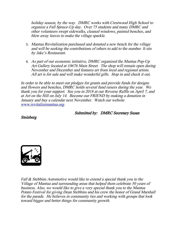holiday season, by the way. DMRC works with Crestwood High School to organize a Fall Spruce-Up day. Over 75 students and many DMRC and other volunteers swept sidewalks, cleaned windows, painted benches, and blew away leaves to make the village sparkle.

- 5. Mantua Revitalization purchased and donated a new bench for the village and will be seeking the contributions of others to add to the number. It sits by Jake's Restaurant.
- 6. As part of our economic initiative, DMRC organized the Mantua Pop-Up Art Gallery located at 10676 Main Street. The shop will remain open during November and December and features art from local and regional artists. All art is for sale and will make wonderful gifts. Stop in and check it out.

In order to be able to meet our pledges for grants and provide funds for designs and flowers and benches, DMRC holds several fund raisers during the year. We thank you for your support. See you in 2018 at our Reverse Raffle on April 7, and at Art on the Hill on July 14. Become our FRIEND by making a donation in January and buy a calendar next November. Watch our website [www.revitalizemantua.org](http://www.revitalizemantua.org/).

Submitted by: DMRC Secretary Susan

Steinberg



Fall & Stebbins Automotive would like to extend a special thank you to the Village of Mantua and surrounding areas that helped them celebrate 50 years of business. Also, we would like to give a very special thank you to the Mantua Potato Festival for giving Dean Stebbins and his crew the honor of Grand Marshall for the parade. He believes in community ties and working with groups that look toward bigger and better things for community growth.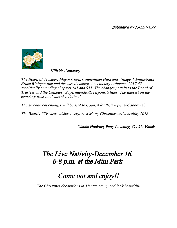Submitted by Joann Vance



Hillside Cemetery

The Board of Trustees, Mayor Clark, Councilman Hura and Village Administrator Bruce Rininger met and discussed changes to cemetery ordinance 2017-47, specifically amending chapters 145 and 955. The changes pertain to the Board of Trustees and the Cemetery Superintendent's responsibilities. The interest on the cemetery trust fund was also defined.

The amendment changes will be sent to Council for their input and approval.

The Board of Trustees wishes everyone a Merry Christmas and a healthy 2018.

Claude Hopkins, Patty Leventry, Cookie Vanek

# The Live Nativity-December 16, 6-8 p.m. at the Mini Park

# Come out and enjoy!!

The Christmas decorations in Mantua are up and look beautiful!